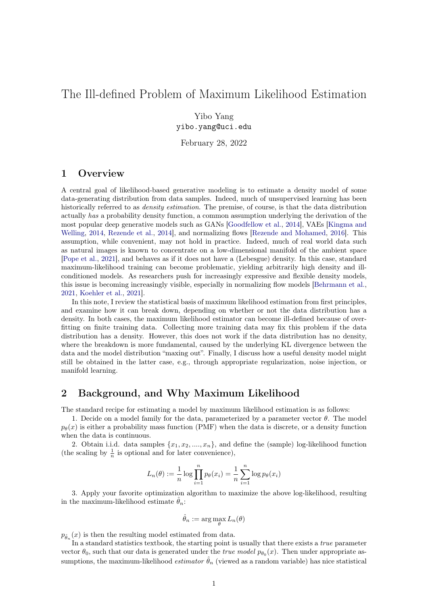# The Ill-defined Problem of Maximum Likelihood Estimation

Yibo Yang

yibo.yang@uci.edu

February 28, 2022

## 1 Overview

A central goal of likelihood-based generative modeling is to estimate a density model of some data-generating distribution from data samples. Indeed, much of unsupervised learning has been historically referred to as *density estimation*. The premise, of course, is that the data distribution actually has a probability density function, a common assumption underlying the derivation of the most popular deep generative models such as GANs [\[Goodfellow et al.,](#page-5-0) [2014\]](#page-5-0), VAEs [\[Kingma and](#page-5-1) [Welling,](#page-5-1) [2014,](#page-5-1) [Rezende et al.,](#page-5-2) [2014\]](#page-5-2), and normalizing flows [\[Rezende and Mohamed,](#page-5-3) [2016\]](#page-5-3). This assumption, while convenient, may not hold in practice. Indeed, much of real world data such as natural images is known to concentrate on a low-dimensional manifold of the ambient space [\[Pope et al.,](#page-5-4) [2021\]](#page-5-4), and behaves as if it does not have a (Lebesgue) density. In this case, standard maximum-likelihood training can become problematic, yielding arbitrarily high density and illconditioned models. As researchers push for increasingly expressive and flexible density models, this issue is becoming increasingly visible, especially in normalizing flow models [\[Behrmann et al.,](#page-5-5) [2021,](#page-5-5) [Koehler et al.,](#page-5-6) [2021\]](#page-5-6).

In this note, I review the statistical basis of maximum likelihood estimation from first principles, and examine how it can break down, depending on whether or not the data distribution has a density. In both cases, the maximum likelihood estimator can become ill-defined because of overfitting on finite training data. Collecting more training data may fix this problem if the data distribution has a density. However, this does not work if the data distribution has no density, where the breakdown is more fundamental, caused by the underlying KL divergence between the data and the model distribution "maxing out". Finally, I discuss how a useful density model might still be obtained in the latter case, e.g., through appropriate regularization, noise injection, or manifold learning.

## 2 Background, and Why Maximum Likelihood

The standard recipe for estimating a model by maximum likelihood estimation is as follows:

1. Decide on a model family for the data, parameterized by a parameter vector  $\theta$ . The model  $p_{\theta}(x)$  is either a probability mass function (PMF) when the data is discrete, or a density function when the data is continuous.

2. Obtain i.i.d. data samples  $\{x_1, x_2, \ldots, x_n\}$ , and define the (sample) log-likelihood function (the scaling by  $\frac{1}{n}$  is optional and for later convenience),

$$
L_n(\theta) := \frac{1}{n} \log \prod_{i=1}^n p_{\theta}(x_i) = \frac{1}{n} \sum_{i=1}^n \log p_{\theta}(x_i)
$$

3. Apply your favorite optimization algorithm to maximize the above log-likelihood, resulting in the maximum-likelihood estimate  $\hat{\theta}_n$ :

$$
\hat{\theta}_n := \arg\max_{\theta} L_n(\theta)
$$

 $p_{\hat{\theta}_n}(x)$  is then the resulting model estimated from data.

In a standard statistics textbook, the starting point is usually that there exists a *true* parameter vector  $\theta_0$ , such that our data is generated under the *true model*  $p_{\theta_0}(x)$ . Then under appropriate assumptions, the maximum-likelihood *estimator*  $\hat{\theta}_n$  (viewed as a random variable) has nice statistical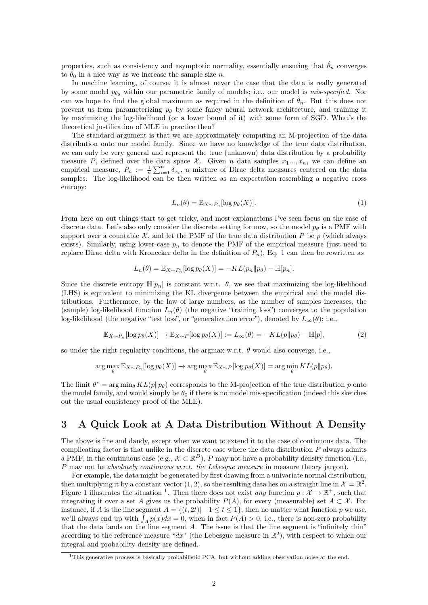properties, such as consistency and asymptotic normality, essentially ensuring that  $\hat{\theta}_n$  converges to  $\theta_0$  in a nice way as we increase the sample size n.

In machine learning, of course, it is almost never the case that the data is really generated by some model  $p_{\theta_0}$  within our parametric family of models; i.e., our model is *mis-specified*. Nor can we hope to find the global maximum as required in the definition of  $\hat{\theta}_n$ . But this does not prevent us from parameterizing  $p_{\theta}$  by some fancy neural network architecture, and training it by maximizing the log-likelihood (or a lower bound of it) with some form of SGD. What's the theoretical justification of MLE in practice then?

The standard argument is that we are approximately computing an M-projection of the data distribution onto our model family. Since we have no knowledge of the true data distribution, we can only be very general and represent the true (unknown) data distribution by a probability measure P, defined over the data space X. Given n data samples  $x_1, ..., x_n$ , we can define an empirical measure,  $P_n := \frac{1}{n} \sum_{i=1}^n \delta_{x_i}$ , a mixture of Dirac delta measures centered on the data samples. The log-likelihood can be then written as an expectation resembling a negative cross entropy:

<span id="page-1-2"></span><span id="page-1-0"></span>
$$
L_n(\theta) = \mathbb{E}_{X \sim P_n}[\log p_\theta(X)].\tag{1}
$$

From here on out things start to get tricky, and most explanations I've seen focus on the case of discrete data. Let's also only consider the discrete setting for now, so the model  $p_\theta$  is a PMF with support over a countable  $\mathcal{X}$ , and let the PMF of the true data distribution P be p (which always exists). Similarly, using lower-case  $p_n$  to denote the PMF of the empirical measure (just need to replace Dirac delta with Kronecker delta in the definition of  $P_n$ ), Eq. [1](#page-1-0) can then be rewritten as

$$
L_n(\theta) = \mathbb{E}_{X \sim P_n}[\log p_\theta(X)] = -KL(p_n \| p_\theta) - \mathbb{H}[p_n].
$$

Since the discrete entropy  $\mathbb{H}[p_n]$  is constant w.r.t.  $\theta$ , we see that maximizing the log-likelihood (LHS) is equivalent to minimizing the KL divergence between the empirical and the model distributions. Furthermore, by the law of large numbers, as the number of samples increases, the (sample) log-likelihood function  $L_n(\theta)$  (the negative "training loss") converges to the population log-likelihood (the negative "test loss", or "generalization error"), denoted by  $L_{\infty}(\theta)$ ; i.e.,

$$
\mathbb{E}_{X \sim P_n}[\log p_\theta(X)] \to \mathbb{E}_{X \sim P}[\log p_\theta(X)] := L_\infty(\theta) = -KL(p||p_\theta) - \mathbb{H}[p],\tag{2}
$$

so under the right regularity conditions, the argmax w.r.t.  $\theta$  would also converge, i.e.,

$$
\arg\max_{\theta} \mathbb{E}_{X \sim P_n}[\log p_{\theta}(X)] \to \arg\max_{\theta} \mathbb{E}_{X \sim P}[\log p_{\theta}(X)] = \arg\min_{\theta} KL(p||p_{\theta}).
$$

The limit  $\theta^* = \arg \min_{\theta} KL(p||p_{\theta})$  corresponds to the M-projection of the true distribution p onto the model family, and would simply be  $\theta_0$  if there is no model mis-specification (indeed this sketches out the usual consistency proof of the MLE).

## 3 A Quick Look at A Data Distribution Without A Density

The above is fine and dandy, except when we want to extend it to the case of continuous data. The complicating factor is that unlike in the discrete case where the data distribution  $P$  always admits a PMF, in the continuous case (e.g.,  $\mathcal{X} \subset \mathbb{R}^D$ ), P may not have a probability density function (i.e., P may not be absolutely continuous w.r.t. the Lebesgue measure in measure theory jargon).

For example, the data might be generated by first drawing from a univariate normal distribution, then multiplying it by a constant vector  $(1, 2)$ , so the resulting data lies on a straight line in  $\mathcal{X} = \mathbb{R}^2$ . Figure [1](#page-1-1) illustrates the situation <sup>1</sup>. Then there does not exist any function  $p: \mathcal{X} \to \mathbb{R}^+$ , such that integrating it over a set A gives us the probability  $P(A)$ , for every (measurable) set  $A \subset \mathcal{X}$ . For instance, if A is the line segment  $A = \{(t, 2t) | -1 \le t \le 1\}$ , then no matter what function p we use, we'll always end up with  $\int_A p(x)dx = 0$ , when in fact  $P(A) > 0$ , i.e., there is non-zero probability that the data lands on the line segment A. The issue is that the line segment is "infinitely thin" according to the reference measure "dx" (the Lebesgue measure in  $\mathbb{R}^2$ ), with respect to which our integral and probability density are defined.

<span id="page-1-1"></span><sup>&</sup>lt;sup>1</sup>This generative process is basically probabilistic PCA, but without adding observation noise at the end.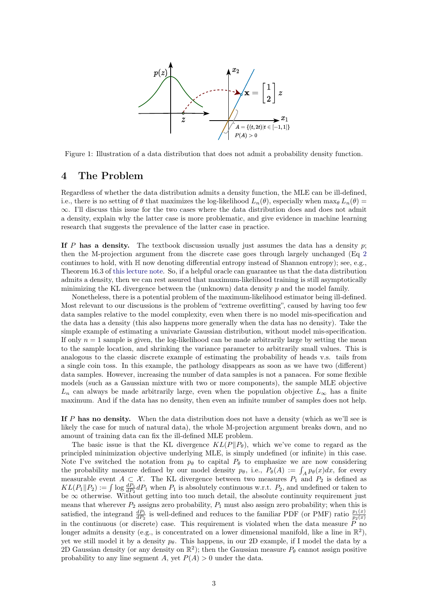

<span id="page-2-0"></span>Figure 1: Illustration of a data distribution that does not admit a probability density function.

### 4 The Problem

Regardless of whether the data distribution admits a density function, the MLE can be ill-defined, i.e., there is no setting of  $\theta$  that maximizes the log-likelihood  $L_n(\theta)$ , especially when max $\theta$   $L_n(\theta)$  = ∞. I'll discuss this issue for the two cases where the data distribution does and does not admit a density, explain why the latter case is more problematic, and give evidence in machine learning research that suggests the prevalence of the latter case in practice.

If P has a density. The textbook discussion usually just assumes the data has a density  $p$ ; then the M-projection argument from the discrete case goes through largely unchanged (Eq [2](#page-1-2) continues to hold, with  $\mathbb H$  now denoting differential entropy instead of Shannon entropy); see, e.g., Theorem 16.3 of [this lecture note.](https://web.stanford.edu/class/archive/stats/stats200/stats200.1172/Lecture16.pdf) So, if a helpful oracle can guarantee us that the data distribution admits a density, then we can rest assured that maximum-likelihood training is still asymptotically minimizing the KL divergence between the (unknown) data density  $p$  and the model family.

Nonetheless, there is a potential problem of the maximum-likelihood estimator being ill-defined. Most relevant to our discussions is the problem of "extreme overfitting", caused by having too few data samples relative to the model complexity, even when there is no model mis-specification and the data has a density (this also happens more generally when the data has no density). Take the simple example of estimating a univariate Gaussian distribution, without model mis-specification. If only  $n = 1$  sample is given, the log-likelihood can be made arbitrarily large by setting the mean to the sample location, and shrinking the variance parameter to arbitrarily small values. This is analogous to the classic discrete example of estimating the probability of heads v.s. tails from a single coin toss. In this example, the pathology disappears as soon as we have two (different) data samples. However, increasing the number of data samples is not a panacea. For some flexible models (such as a Gaussian mixture with two or more components), the sample MLE objective  $L_n$  can always be made arbitrarily large, even when the population objective  $L_{\infty}$  has a finite maximum. And if the data has no density, then even an infinite number of samples does not help.

If P has no density. When the data distribution does not have a density (which as we'll see is likely the case for much of natural data), the whole M-projection argument breaks down, and no amount of training data can fix the ill-defined MLE problem.

The basic issue is that the KL divergence  $KL(P||P_{\theta})$ , which we've come to regard as the principled minimization objective underlying MLE, is simply undefined (or infinite) in this case. Note I've switched the notation from  $p_{\theta}$  to capital  $P_{\theta}$  to emphasize we are now considering the probability measure defined by our model density  $p_{\theta}$ , i.e.,  $P_{\theta}(A) := \int_A p_{\theta}(x) dx$ , for every measurable event  $A \subset \mathcal{X}$ . The KL divergence between two measures  $P_1$  and  $P_2$  is defined as  $KL(P_1||P_2) := \int \log \frac{dP_1}{dP_2} dP_1$  when  $P_1$  is absolutely continuous w.r.t.  $P_2$ , and undefined or taken to be  $\infty$  otherwise. Without getting into too much detail, the absolute continuity requirement just means that wherever  $P_2$  assigns zero probability,  $P_1$  must also assign zero probability; when this is satisfied, the integrand  $\frac{dP_1}{dP_2}$  is well-defined and reduces to the familiar PDF (or PMF) ratio  $\frac{p_1(x)}{p_2(x)}$ in the continuous (or discrete) case. This requirement is violated when the data measure  $\overline{P}$  no longer admits a density (e.g., is concentrated on a lower dimensional manifold, like a line in  $\mathbb{R}^2$ ), yet we still model it by a density  $p_\theta$ . This happens, in our 2D example, if I model the data by a 2D Gaussian density (or any density on  $\mathbb{R}^2$ ); then the Gaussian measure  $P_\theta$  cannot assign positive probability to any line segment A, yet  $P(A) > 0$  under the data.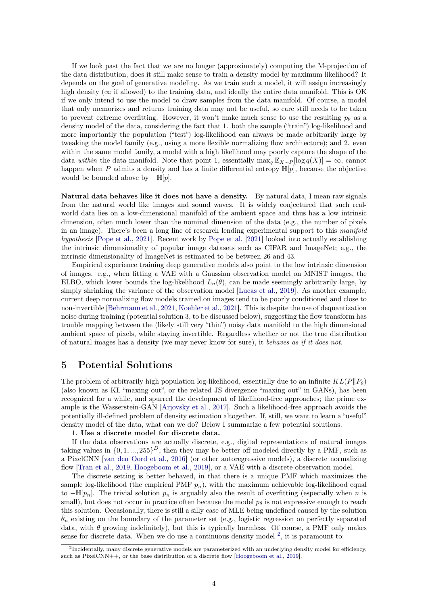If we look past the fact that we are no longer (approximately) computing the M-projection of the data distribution, does it still make sense to train a density model by maximum likelihood? It depends on the goal of generative modeling. As we train such a model, it will assign increasingly high density ( $\infty$  if allowed) to the training data, and ideally the entire data manifold. This is OK if we only intend to use the model to draw samples from the data manifold. Of course, a model that only memorizes and returns training data may not be useful, so care still needs to be taken to prevent extreme overfitting. However, it won't make much sense to use the resulting  $p_{\theta}$  as a density model of the data, considering the fact that 1. both the sample ("train") log-likelihood and more importantly the population ("test") log-likelihood can always be made arbitrarily large by tweaking the model family (e.g., using a more flexible normalizing flow architecture); and 2. even within the same model family, a model with a high likelihood may poorly capture the shape of the data within the data manifold. Note that point 1, essentially  $\max_{q} \mathbb{E}_{X \sim P} [\log q(X)] = \infty$ , cannot happen when P admits a density and has a finite differential entropy  $\mathbb{H}[p]$ , because the objective would be bounded above by  $-\mathbb{H}[p]$ .

Natural data behaves like it does not have a density. By natural data, I mean raw signals from the natural world like images and sound waves. It is widely conjectured that such realworld data lies on a low-dimensional manifold of the ambient space and thus has a low intrinsic dimension, often much lower than the nominal dimension of the data (e.g., the number of pixels in an image). There's been a long line of research lending experimental support to this manifold hypothesis [\[Pope et al.,](#page-5-4) [2021\]](#page-5-4). Recent work by [Pope et al.](#page-5-4) [\[2021\]](#page-5-4) looked into actually establishing the intrinsic dimensionality of popular image datasets such as CIFAR and ImageNet; e.g., the intrinsic dimensionality of ImageNet is estimated to be between 26 and 43.

Empirical experience training deep generative models also point to the low intrinsic dimension of images. e.g., when fitting a VAE with a Gaussian observation model on MNIST images, the ELBO, which lower bounds the log-likelihood  $L_n(\theta)$ , can be made seemingly arbitrarily large, by simply shrinking the variance of the observation model [\[Lucas et al.,](#page-5-7) [2019\]](#page-5-7). As another example, current deep normalizing flow models trained on images tend to be poorly conditioned and close to non-invertible [\[Behrmann et al.,](#page-5-5) [2021,](#page-5-5) [Koehler et al.,](#page-5-6) [2021\]](#page-5-6). This is despite the use of dequantization noise during training (potential solution 3, to be discussed below), suggesting the flow transform has trouble mapping between the (likely still very "thin") noisy data manifold to the high dimensional ambient space of pixels, while staying invertible. Regardless whether or not the true distribution of natural images has a density (we may never know for sure), it behaves as if it does not.

### 5 Potential Solutions

The problem of arbitrarily high population log-likelihood, essentially due to an infinite  $KL(P||P_{\theta})$ (also known as KL "maxing out", or the related JS divergence "maxing out" in GANs), has been recognized for a while, and spurred the development of likelihood-free approaches; the prime example is the Wasserstein-GAN [\[Arjovsky et al.,](#page-5-8) [2017\]](#page-5-8). Such a likelihood-free approach avoids the potentially ill-defined problem of density estimation altogether. If, still, we want to learn a "useful" density model of the data, what can we do? Below I summarize a few potential solutions.

#### 1. Use a discrete model for discrete data.

If the data observations are actually discrete, e.g., digital representations of natural images taking values in  $\{0, 1, ..., 255\}^D$ , then they may be better off modeled directly by a PMF, such as a PixelCNN [\[van den Oord et al.,](#page-5-9) [2016\]](#page-5-9) (or other autoregressive models), a discrete normalizing flow [\[Tran et al.,](#page-5-10) [2019,](#page-5-10) [Hoogeboom et al.,](#page-5-11) [2019\]](#page-5-11), or a VAE with a discrete observation model.

The discrete setting is better behaved, in that there is a unique PMF which maximizes the sample log-likelihood (the empirical PMF  $p_n$ ), with the maximum achievable log-likelihood equal to  $-\mathbb{H}[p_n]$ . The trivial solution  $p_n$  is arguably also the result of overfitting (especially when n is small), but does not occur in practice often because the model  $p_{\theta}$  is not expressive enough to reach this solution. Occasionally, there is still a silly case of MLE being undefined caused by the solution  $\hat{\theta}_n$  existing on the boundary of the parameter set (e.g., logistic regression on perfectly separated data, with  $\theta$  growing indefinitely), but this is typically harmless. Of course, a PMF only makes sense for discrete data. When we do use a continuous density model  $^2$  $^2$ , it is paramount to:

<span id="page-3-0"></span><sup>&</sup>lt;sup>2</sup>Incidentally, many discrete generative models are parameterized with an underlying density model for efficiency, such as PixelCNN++, or the base distribution of a discrete flow [\[Hoogeboom et al.,](#page-5-11) [2019\]](#page-5-11).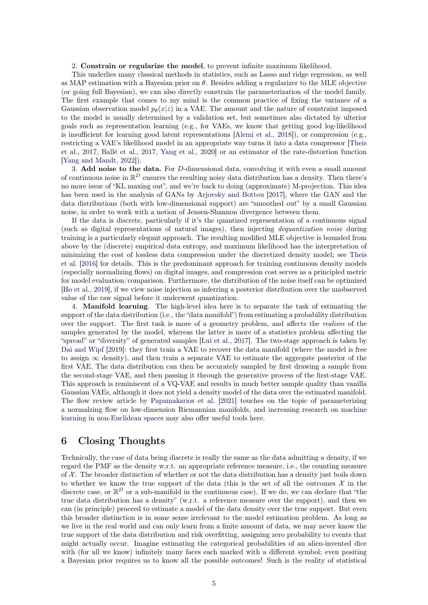#### 2. Constrain or regularize the model, to prevent infinite maximum likelihood.

This underlies many classical methods in statistics, such as Lasso and ridge regression, as well as MAP estimation with a Bayesian prior on  $\theta$ . Besides adding a regularizer to the MLE objective (or going full Bayesian), we can also directly constrain the parameterization of the model family. The first example that comes to my mind is the common practice of fixing the variance of a Gaussian observation model  $p_{\theta}(x|z)$  in a VAE. The amount and the nature of constraint imposed to the model is usually determined by a validation set, but sometimes also dictated by ulterior goals such as representation learning (e.g., for VAEs, we know that getting good log-likelihood is insufficient for learning good latent representations [\[Alemi et al.,](#page-5-12) [2018\]](#page-5-12)), or compression (e.g., restricting a VAE's likelihood model in an appropriate way turns it into a data compressor [\[Theis](#page-5-13) [et al.,](#page-5-13) [2017,](#page-5-13) [Ballé et al.,](#page-5-14) [2017,](#page-5-14) [Yang et al.,](#page-5-15) [2020\]](#page-5-15) or an estimator of the rate-distortion function [\[Yang and Mandt,](#page-5-16) [2022\]](#page-5-16)).

3. Add noise to the data. For D-dimensional data, convolving it with even a small amount of continuous noise in  $\mathbb{R}^D$  ensures the resulting noisy data distribution has a density. Then there's no more issue of "KL maxing out", and we're back to doing (approximate) M-projection. This idea has been used in the analysis of GANs by [Arjovsky and Bottou](#page-6-0) [\[2017\]](#page-6-0), where the GAN and the data distributions (both with low-dimensional support) are "smoothed out" by a small Gaussian noise, in order to work with a notion of Jensen-Shannon divergence between them.

If the data is discrete, particularly if it's the quantized representation of a continuous signal (such as digital representations of natural images), then injecting dequantization noise during training is a particularly elegant approach. The resulting modified MLE objective is bounded from above by the (discrete) empirical data entropy, and maximum likelihood has the interpretation of minimizing the cost of lossless data compression under the discretized density model; see [Theis](#page-6-1) [et al.](#page-6-1) [\[2016\]](#page-6-1) for details. This is the predominant approach for training continuous density models (especially normalizing flows) on digital images, and compression cost serves as a principled metric for model evaluation/comparison. Furthermore, the distribution of the noise itself can be optimized [\[Ho et al.,](#page-6-2) [2019\]](#page-6-2), if we view noise injection as inferring a posterior distribution over the unobserved value of the raw signal before it underwent quantization.

4. Manifold learning. The high-level idea here is to separate the task of estimating the support of the data distribution (i.e., the "data manifold") from estimating a probability distribution over the support. The first task is more of a geometry problem, and affects the realism of the samples generated by the model, whereas the latter is more of a statistics problem affecting the "spread" or "diversity" of generated samples [\[Lui et al.,](#page-6-3) [2017\]](#page-6-3). The two-stage approach is taken by [Dai and Wipf](#page-6-4) [\[2019\]](#page-6-4): they first train a VAE to recover the data manifold (where the model is free to assign  $\infty$  density), and then train a separate VAE to estimate the aggregate posterior of the first VAE. The data distribution can then be accurately sampled by first drawing a sample from the second-stage VAE, and then passing it through the generative process of the first-stage VAE. This approach is reminiscent of a VQ-VAE and results in much better sample quality than vanilla Gaussian VAEs, although it does not yield a density model of the data over the estimated manifold. The flow review article by [Papamakarios et al.](#page-6-5) [\[2021\]](#page-6-5) touches on the topic of parameterizing a normalzing flow on low-dimension Riemannian manifolds, and increasing research on [machine](https://dawn.cs.stanford.edu/2019/10/10/noneuclidean/) [learning in non-Euclidean spaces](https://dawn.cs.stanford.edu/2019/10/10/noneuclidean/) may also offer useful tools here.

### 6 Closing Thoughts

Technically, the case of data being discrete is really the same as the data admitting a density, if we regard the PMF as the density w.r.t. an appropriate reference measure, i.e., the counting measure of  $X$ . The broader distinction of whether or not the data distribution has a density just boils down to whether we know the true support of the data (this is the set of all the outcomes  $\mathcal X$  in the discrete case, or  $\mathbb{R}^D$  or a sub-manifold in the continuous case). If we do, we can declare that "the true data distribution has a density" (w.r.t. a reference measure over the support), and then we can (in principle) proceed to estimate a model of the data density over the true support. But even this broader distinction is in some sense irrelevant to the model estimation problem. As long as we live in the real world and can only learn from a finite amount of data, we may never know the true support of the data distribution and risk overfitting, assigning zero probability to events that might actually occur. Imagine estimating the categorical probabilities of an alien-invented dice with (for all we know) infinitely many faces each marked with a different symbol; even positing a Bayesian prior requires us to know all the possible outcomes! Such is the reality of statistical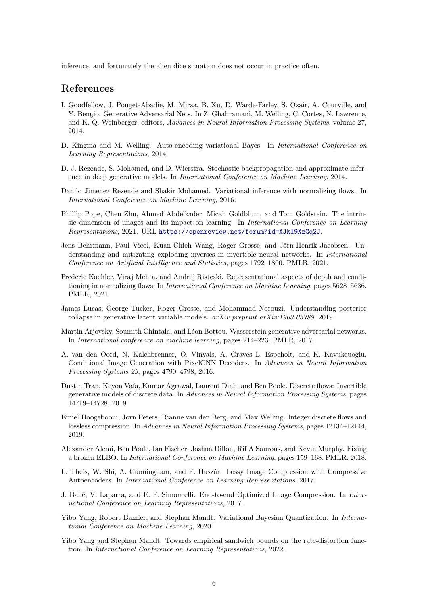inference, and fortunately the alien dice situation does not occur in practice often.

### References

- <span id="page-5-0"></span>I. Goodfellow, J. Pouget-Abadie, M. Mirza, B. Xu, D. Warde-Farley, S. Ozair, A. Courville, and Y. Bengio. Generative Adversarial Nets. In Z. Ghahramani, M. Welling, C. Cortes, N. Lawrence, and K. Q. Weinberger, editors, Advances in Neural Information Processing Systems, volume 27, 2014.
- <span id="page-5-1"></span>D. Kingma and M. Welling. Auto-encoding variational Bayes. In International Conference on Learning Representations, 2014.
- <span id="page-5-2"></span>D. J. Rezende, S. Mohamed, and D. Wierstra. Stochastic backpropagation and approximate inference in deep generative models. In International Conference on Machine Learning, 2014.
- <span id="page-5-3"></span>Danilo Jimenez Rezende and Shakir Mohamed. Variational inference with normalizing flows. In International Conference on Machine Learning, 2016.
- <span id="page-5-4"></span>Phillip Pope, Chen Zhu, Ahmed Abdelkader, Micah Goldblum, and Tom Goldstein. The intrinsic dimension of images and its impact on learning. In International Conference on Learning Representations, 2021. URL <https://openreview.net/forum?id=XJk19XzGq2J>.
- <span id="page-5-5"></span>Jens Behrmann, Paul Vicol, Kuan-Chieh Wang, Roger Grosse, and Jörn-Henrik Jacobsen. Understanding and mitigating exploding inverses in invertible neural networks. In *International* Conference on Artificial Intelligence and Statistics, pages 1792–1800. PMLR, 2021.
- <span id="page-5-6"></span>Frederic Koehler, Viraj Mehta, and Andrej Risteski. Representational aspects of depth and conditioning in normalizing flows. In International Conference on Machine Learning, pages 5628–5636. PMLR, 2021.
- <span id="page-5-7"></span>James Lucas, George Tucker, Roger Grosse, and Mohammad Norouzi. Understanding posterior collapse in generative latent variable models. arXiv preprint arXiv:1903.05789, 2019.
- <span id="page-5-8"></span>Martin Arjovsky, Soumith Chintala, and Léon Bottou. Wasserstein generative adversarial networks. In International conference on machine learning, pages 214–223. PMLR, 2017.
- <span id="page-5-9"></span>A. van den Oord, N. Kalchbrenner, O. Vinyals, A. Graves L. Espeholt, and K. Kavukcuoglu. Conditional Image Generation with PixelCNN Decoders. In Advances in Neural Information Processing Systems 29, pages 4790–4798, 2016.
- <span id="page-5-10"></span>Dustin Tran, Keyon Vafa, Kumar Agrawal, Laurent Dinh, and Ben Poole. Discrete flows: Invertible generative models of discrete data. In Advances in Neural Information Processing Systems, pages 14719–14728, 2019.
- <span id="page-5-11"></span>Emiel Hoogeboom, Jorn Peters, Rianne van den Berg, and Max Welling. Integer discrete flows and lossless compression. In Advances in Neural Information Processing Systems, pages 12134–12144, 2019.
- <span id="page-5-12"></span>Alexander Alemi, Ben Poole, Ian Fischer, Joshua Dillon, Rif A Saurous, and Kevin Murphy. Fixing a broken ELBO. In International Conference on Machine Learning, pages 159–168. PMLR, 2018.
- <span id="page-5-13"></span>L. Theis, W. Shi, A. Cunningham, and F. Huszár. Lossy Image Compression with Compressive Autoencoders. In International Conference on Learning Representations, 2017.
- <span id="page-5-14"></span>J. Ballé, V. Laparra, and E. P. Simoncelli. End-to-end Optimized Image Compression. In International Conference on Learning Representations, 2017.
- <span id="page-5-15"></span>Yibo Yang, Robert Bamler, and Stephan Mandt. Variational Bayesian Quantization. In International Conference on Machine Learning, 2020.
- <span id="page-5-16"></span>Yibo Yang and Stephan Mandt. Towards empirical sandwich bounds on the rate-distortion function. In International Conference on Learning Representations, 2022.